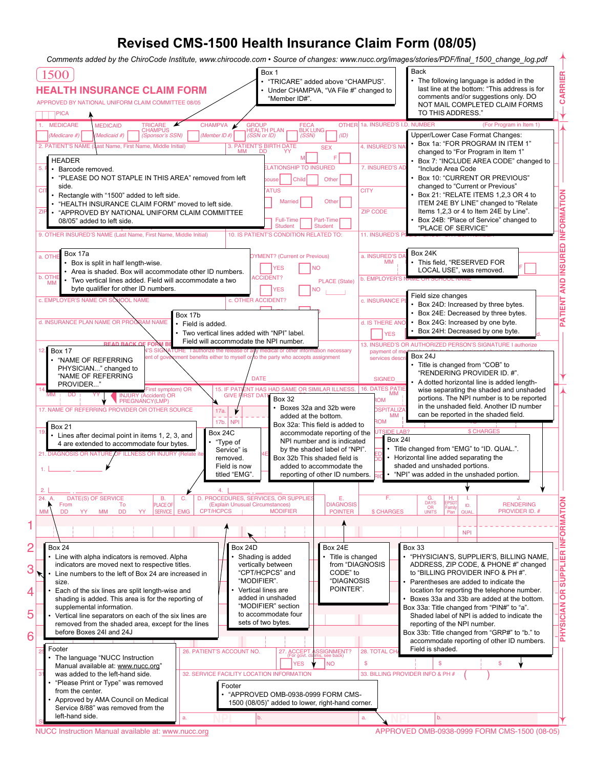## **Revised CMS-1500 Health Insurance Claim Form (08/05)**

*Comments added by the ChiroCode Institute, www.chirocode.com • Source of changes: www.nucc.org/images/stories/PDF/final\_1500\_change\_log.pdf* Box 1 Back 1500 **REIRRAC**The following language is added in the • "TRICARE" added above "CHAMPUS". **HEALTH INSURANCE CLAIM FORM** • Under CHAMPVA, "VA File #" changed to last line at the bottom: "This address is for comments and/or suggestions only. DO "Member ID#". APPROVED BY NATIONAL UNIFORM CLAIM COMMITTEE 08/05 NOT MAIL COMPLETED CLAIM FORMS TO THIS ADDRESS." PICA MEDICARE MEDICAID OTHER 1a. INSURED'S I CHAMPVA (Medicare #) (Medicaid #) (Gponsor's SSN) (Member ID #) (SSN or ID) (SSN) (SSN) (ID) Upper/Lower Case Format Changes: • Box 1a: "FOR PROGRAM IN ITEM 1" 2. PATIENT'S NAME (Last Name, First Name, SEX MM DD YY SEX 4. INSURED'S NAME CONTROL TOWN NO CHANGED IN THE WILLIAM CHAnged to "For Program in Item 1" **HEADER** M F • Box 7: "INCLUDE AREA CODE" changed to **LATIONSHIP TO INSURED** 5. F. Barcode removed. 7. INSURED'S ADDRESS (No., Street) "Include Area Code • Box 10: "CURRENT OR PREVIOUS" • "PLEASE DO NOT STAPLE IN THIS AREA" removed from left **IBIL** pouse Child Chier changed to "Current or Previous" side. ATI IS **NOI** $\frac{1}{\sqrt{10}}$  • Rectangle with "1500" added to left side.  $\overline{\text{C}}$  FIFT Box 21: "RELATE ITEMS 1,2,3 OR 4 to ITEM 24E BY LINE" changed to "Relate • "HEALTH INSURANCE CLAIM FORM" moved to left side. **Single Married | City Other TAMROFNI** $ZIP CODE$  Items 1,2,3 or 4 to Item 24E by Line". ZIP • "APPROVED BY NATIONAL UNIFORM CLAIM COMMITTEE • Box 24B: "Place of Service" changed to  $08/05$ " added to left side. Full-Time **Part-Time** вох 24в: "Place or Ser<br>"PLACE OF SERVICE" Employed Student Student 9. OTHER INSURED'S NAME (Last Name, First Name, Middle Initial) 1. INSURED'S 10. IS PATIENT'S CONDITION RELATED TO: **DERUSIN** Box 17a Box 24K a. INSURED'S D. **PYMENT?** (Current or Previous) a. OTHE BOX 17 a<br>• Box is split in half length-wise.  $EMM_{\parallel}$  + This field, "RESERVED FOR THES NO M FILOCAL USE", was removed. Area is shaded. Box will accommodate other ID numbers.  $\overline{\phantom{a}}$  $\frac{\text{b. OTHE}}{\text{MM}}$  • Two vertical lines added. Field will accommodate a two b. EMPLOYER'S **DNA**PLACE (State)  $YES$   $\neg$  NO byte qualifier for other ID numbers. Field size changes c. OTHER ACCIDENT? **TNIE** c. EMPLOYER'S NAME OF c. INSURANCE PL  $\cdot$  Box 24D: Increased by three bytes. Box 24E: Decreased by three bytes. Box 17b  $\overline{\phantom{a}}$ **TAP**d. INSURANCE PLAN NAME OR PROGRAM NAME d. IS THERE ANO • Box 24G: Increased by one byte. • Field is added. • Two vertical lines added with "NPI" label. • Box 24H: Decreased by one byte.  $\int_{d}$ YES **READ BACK OF FORM BEFALL COMPLEM** Field will accommodate the NPI number. 13. INSURED'S OR AUTHORIZED PERSON'S SIGNATURE I authorize 12. Box 17 WIS SIGNATURE payment of me Box 24J nt benefits either to myself or to the party who accepts assignment ervices des • "NAME OF REFERRING Pont of government benefits either to myself or the party who accepts assignment • Title is changed from "COB" to **PHYSICIAN..."** changed to "RENDERING PROVIDER ID. #". "NAME OF REFERRING  $\overline{\phantom{a}}$  DATE  $\overline{\phantom{a}}$  DATE  $\overline{\phantom{a}}$  DATE  $\overline{\phantom{a}}$  SIGNED • A dotted horizontal line is added length-PROVIDER...  $16.$  DATES PATIE wise separating the shaded and unshaded 14. **DATE OF CURRENT:**  $\mathbf{D} = \mathbf{D} \mathbf{D} \mathbf{D} \mathbf{D} \mathbf{D} \mathbf{D} \mathbf{D} \mathbf{D} \mathbf{D} \mathbf{D} \mathbf{D} \mathbf{D} \mathbf{D} \mathbf{D} \mathbf{D} \mathbf{D} \mathbf{D} \mathbf{D} \mathbf{D} \mathbf{D} \mathbf{D} \mathbf{D} \mathbf{D} \mathbf{D} \mathbf{D} \mathbf{D} \mathbf{D} \mathbf{D} \mathbf{D} \mathbf{D} \mathbf{D} \mathbf{D$ 'st symptom) OF<br><sup>ident\</sup> OB 15. IF PATIENT HAS HAD SAME OR SIMILAR ILLNESS.  $\frac{M M}{P_{\text{OM}}}$   $\parallel$   $\frac{M \times 1000 \text{ C}}{P_{\text{OM}}}$  portions. The NPI number is to be reported MM i DD i YY GIVE FIRST DATE Box  $32$ INJURY (Accident) OR PREGNANCY(LMP) in the unshaded field. Another ID number • Boxes 32a and 32b were 17. NAME OF REFERRING PROVIDER OR OTHER SOURCE 17a.  $\frac{M}{M}$  can be reported in the shaded field. added at the bottom.  $F \sim 100$  Tomas is the set of  $\sim$ 17b. | NPI Box 32a: This field is added to Box 21 Box 24C  $\overline{R}$  CHARG  $19.$  • Lines after decimal point in items 1, 2, 3, and accommodate reporting of the UTSIDE LAB? Box 24I NPI number and is indicated • "Type of 4 are extended to accommodate four bytes. • Title changed from "EMG" to "ID. QUAL.". by the shaded label of "NPI" Service" is 21. DIAGNOSIS OR NATURE OF ILLNESS OR INJURY (Relate ite 1, 2002) 21. DIAGNOSIS OR NATURE OF ITEM 24E  $\frac{ED}{DD}$  • Horizontal line added separating the removed. Box 32b This shaded field is shaded and unshaded portions. added to accommodate the Field is now 1. 3. reporting of other ID numbers. titled "EMG". ers. Ric • "NPI" was added in the unshaded portion. v 2. 4. DATE(S) OF SERVICE B. C. D. PROCEDURES, SERVICES, OR SUPPLIES E.<br>
To PLACE OF (Explain Unusual Circumstances) DIAGNOSIS  $24.$ F. G. H. I. J. **NIOTA**ACE O (Explain Unusual Circumstances)<br>T/HCPCS | MODIFIER ID. RENDERING From To DAYS OR EPSDT CPT/HCPCS POINTER \$ CHARGES Family PROVIDER ID. MM DD YY MM DD YY SERVICE QUAL. UNITS Plan **MR**NPI **OFNI**2 Box 24 Box 24D Box 24E Box 33 **REI**Title is changed · "PHYSICIAN'S, SUPPLIER'S, BILLING NAME, Line with alpha indicators is removed. Alpha Shading is added ADDRESS, ZIP CODE, & PHONE #" changed indicators are moved next to respective titles. vertically between from "DIAGNOSIS **LPPUS**3 • Line numbers to the left of Box 24 are increased in "CPT/HCPCS" and CODE" to to "BILLING PROVIDER INFO & PH #". • Parentheses are added to indicate the "MODIFIER". "DIAGNOSIS size. POINTER". Each of the six lines are split length-wise and • Vertical lines are location for reporting the telephone number. **RO**shading is added. This area is for the reporting of added in unshaded • Boxes 33a and 33b are added at the bottom. "MODIFIER" section supplemental information. Box 33a: Title changed from "PIN#" to "a". **NAI IC** 5 to accommodate four Shaded label of NPI is added to indicate the • Vertical line separators on each of the six lines are sets of two bytes. reporting of the NPI number. removed from the shaded area, except for the lines **SYHP**Box 33b: Title changed from "GRP#" to "b." to before Boxes 24I and 24J 6 accommodate reporting of other ID numbers. Footer 27. ACCEPT ASSIGNMENT  $\frac{1}{28 \text{ TOTAI CH}}$  Field is shaded. 25. FEDERAL TRISIGNMENT?<br>1. The language "NUCC Instruction All 26. PATIENT'S ACCOUNT NO. 27. ACCEPT ASSIGNMENT?<br>28. The language "NUCC Instruction" YES V INO Manual available at: www.nucc.org" \$ \$ \$ 32. SERVICE FACILITY LOCATION INFORMATION 33. BILLING PROVIDER INFO & PH # 31 was added to the left-hand side.  $($  ) • "Please Print or Type" was removed Footer from the center. • Hom the center.<br>• Approved by AMA Council on Medical • "APPROVED OMB-0938-0999 FORM CMS-1500 (08/05)" added to lower, right-hand corner.Service 8/88" was removed from the left-hand side. **NPI NPI** a.  $\blacksquare$  b.  $\blacksquare$  a.  $\blacksquare$  b.  $\blacksquare$  b. SI<del>GNED DATE IN DER SIGNED DATE IN DER SIGNED DATE IN DER SIGNED DATE IN DER SIGNED DATE IN DER SIGNED DATE IN</del>

1

4

NUCC Instruction Manual available at: www.nucc.org <br>
APPROVED OMB-0938-0999 FORM CMS-1500 (08-05)